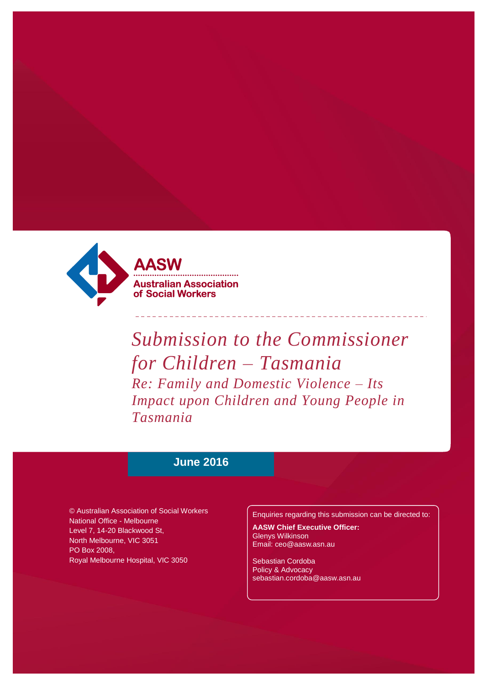

*Submission to the Commissioner for Children – Tasmania Re: Family and Domestic Violence – Its Impact upon Children and Young People in Tasmania*

# **June 2016**

© Australian Association of Social Workers National Office - Melbourne Level 7, 14-20 Blackwood St, North Melbourne, VIC 3051 PO Box 2008, Royal Melbourne Hospital, VIC 3050

Enquiries regarding this submission can be directed to:

**AASW Chief Executive Officer:** Glenys Wilkinson Email: ceo@aasw.asn.au

Sebastian Cordoba Policy & Advocacy sebastian.cordoba@aasw.asn.au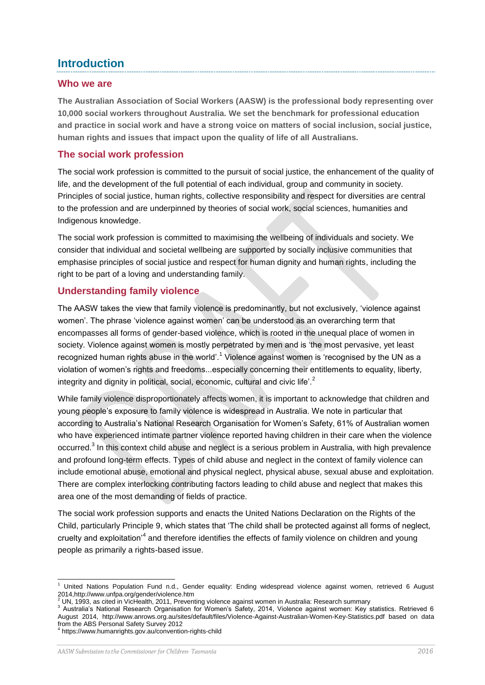# **Introduction**

#### **Who we are**

**The Australian Association of Social Workers (AASW) is the professional body representing over 10,000 social workers throughout Australia. We set the benchmark for professional education and practice in social work and have a strong voice on matters of social inclusion, social justice, human rights and issues that impact upon the quality of life of all Australians.**

### **The social work profession**

The social work profession is committed to the pursuit of social justice, the enhancement of the quality of life, and the development of the full potential of each individual, group and community in society. Principles of social justice, human rights, collective responsibility and respect for diversities are central to the profession and are underpinned by theories of social work, social sciences, humanities and Indigenous knowledge.

The social work profession is committed to maximising the wellbeing of individuals and society. We consider that individual and societal wellbeing are supported by socially inclusive communities that emphasise principles of social justice and respect for human dignity and human rights, including the right to be part of a loving and understanding family.

## **Understanding family violence**

The AASW takes the view that family violence is predominantly, but not exclusively, 'violence against women'. The phrase 'violence against women' can be understood as an overarching term that encompasses all forms of gender-based violence, which is rooted in the unequal place of women in society. Violence against women is mostly perpetrated by men and is 'the most pervasive, yet least recognized human rights abuse in the world'.<sup>1</sup> Violence against women is 'recognised by the UN as a violation of women's rights and freedoms...especially concerning their entitlements to equality, liberty, integrity and dignity in political, social, economic, cultural and civic life'.<sup>2</sup>

While family violence disproportionately affects women, it is important to acknowledge that children and young people's exposure to family violence is widespread in Australia. We note in particular that according to Australia's National Research Organisation for Women's Safety, 61% of Australian women who have experienced intimate partner violence reported having children in their care when the violence occurred.<sup>3</sup> In this context child abuse and neglect is a serious problem in Australia, with high prevalence and profound long-term effects. Types of child abuse and neglect in the context of family violence can include emotional abuse, emotional and physical neglect, physical abuse, sexual abuse and exploitation. There are complex interlocking contributing factors leading to child abuse and neglect that makes this area one of the most demanding of fields of practice.

The social work profession supports and enacts the United Nations Declaration on the Rights of the Child, particularly Principle 9, which states that 'The child shall be protected against all forms of neglect, cruelty and exploitation<sup>,4</sup> and therefore identifies the effects of family violence on children and young people as primarily a rights-based issue.

l <sup>1</sup> United Nations Population Fund n.d., Gender equality: Ending widespread violence against women, retrieved 6 August 2014,http://www.unfpa.org/gender/violence.htm

<sup>&</sup>lt;sup>2</sup> UN, 1993, as cited in VicHealth, 2011, Preventing violence against women in Australia: Research summary

<sup>3</sup> Australia's National Research Organisation for Women's Safety, 2014, Violence against women: Key statistics. Retrieved 6 August 2014, http://www.anrows.org.au/sites/default/files/Violence-Against-Australian-Women-Key-Statistics.pdf based on data from the ABS Personal Safety Survey 2012

<sup>4</sup> https://www.humanrights.gov.au/convention-rights-child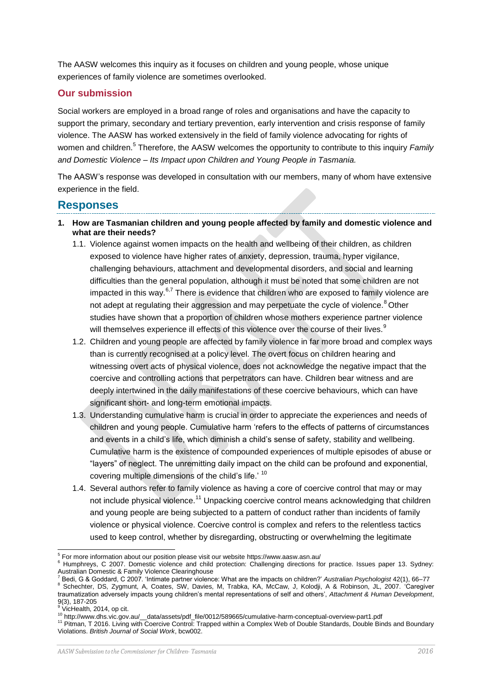The AASW welcomes this inquiry as it focuses on children and young people, whose unique experiences of family violence are sometimes overlooked.

### **Our submission**

Social workers are employed in a broad range of roles and organisations and have the capacity to support the primary, secondary and tertiary prevention, early intervention and crisis response of family violence. The AASW has worked extensively in the field of family violence advocating for rights of women and children.<sup>5</sup> Therefore, the AASW welcomes the opportunity to contribute to this inquiry *Family and Domestic Violence – Its Impact upon Children and Young People in Tasmania.*

The AASW's response was developed in consultation with our members, many of whom have extensive experience in the field.

## **Responses**

- **1. How are Tasmanian children and young people affected by family and domestic violence and what are their needs?**
	- 1.1. Violence against women impacts on the health and wellbeing of their children, as children exposed to violence have higher rates of anxiety, depression, trauma, hyper vigilance, challenging behaviours, attachment and developmental disorders, and social and learning difficulties than the general population, although it must be noted that some children are not impacted in this way.<sup>6,7</sup> There is evidence that children who are exposed to family violence are not adept at regulating their aggression and may perpetuate the cycle of violence.<sup>8</sup> Other studies have shown that a proportion of children whose mothers experience partner violence will themselves experience ill effects of this violence over the course of their lives.<sup>9</sup>
	- 1.2. Children and young people are affected by family violence in far more broad and complex ways than is currently recognised at a policy level. The overt focus on children hearing and witnessing overt acts of physical violence, does not acknowledge the negative impact that the coercive and controlling actions that perpetrators can have. Children bear witness and are deeply intertwined in the daily manifestations of these coercive behaviours, which can have significant short- and long-term emotional impacts.
	- 1.3. Understanding cumulative harm is crucial in order to appreciate the experiences and needs of children and young people. Cumulative harm 'refers to the effects of patterns of circumstances and events in a child's life, which diminish a child's sense of safety, stability and wellbeing. Cumulative harm is the existence of compounded experiences of multiple episodes of abuse or "layers" of neglect. The unremitting daily impact on the child can be profound and exponential, covering multiple dimensions of the child's life.' 10
	- 1.4. Several authors refer to family violence as having a core of coercive control that may or may not include physical violence.<sup>11</sup> Unpacking coercive control means acknowledging that children and young people are being subjected to a pattern of conduct rather than incidents of family violence or physical violence. Coercive control is complex and refers to the relentless tactics used to keep control, whether by disregarding, obstructing or overwhelming the legitimate

l

<sup>5</sup> For more information about our position please visit our website https://www.aasw.asn.au/

<sup>&</sup>lt;sup>6</sup> Humphreys, C 2007. Domestic violence and child protection: Challenging directions for practice. Issues paper 13. Sydney: Australian Domestic & Family Violence Clearinghouse <sup>7</sup> Bedi, G & Goddard, C 2007. 'Intimate partner violence: What are the impacts on children?' *Australian Psychologist* 42(1), 66–77

<sup>8</sup> Schechter, DS, Zygmunt, A, Coates, SW, Davies, M, Trabka, KA, McCaw, J, Kolodji, A & Robinson, JL, 2007. 'Caregiver traumatization adversely impacts young children's mental representations of self and others', *Attachment & Human Development*, 9(3), 187-205

<sup>9</sup> VicHealth, 2014, op cit.

<sup>10</sup> http://www.dhs.vic.gov.au/\_\_data/assets/pdf\_file/0012/589665/cumulative-harm-conceptual-overview-part1.pdf

<sup>&</sup>lt;sup>11</sup> Pitman, T 2016. Living with Coercive Control: Trapped within a Complex Web of Double Standards, Double Binds and Boundary Violations. *British Journal of Social Work*, bcw002.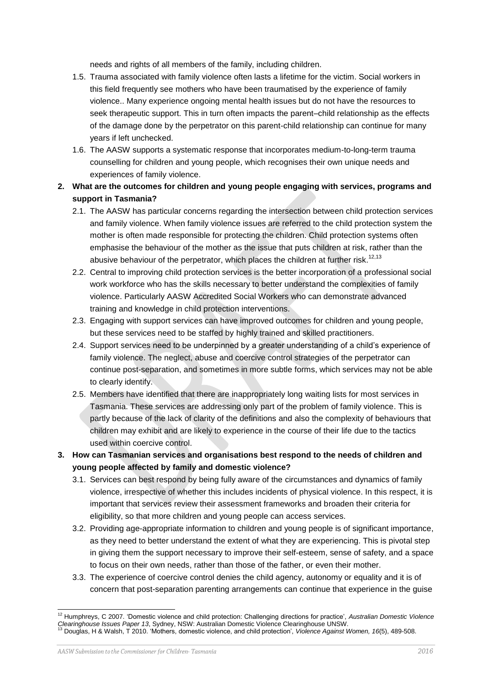needs and rights of all members of the family, including children.

- 1.5. Trauma associated with family violence often lasts a lifetime for the victim. Social workers in this field frequently see mothers who have been traumatised by the experience of family violence.. Many experience ongoing mental health issues but do not have the resources to seek therapeutic support. This in turn often impacts the parent–child relationship as the effects of the damage done by the perpetrator on this parent-child relationship can continue for many years if left unchecked.
- 1.6. The AASW supports a systematic response that incorporates medium-to-long-term trauma counselling for children and young people, which recognises their own unique needs and experiences of family violence.
- **2. What are the outcomes for children and young people engaging with services, programs and support in Tasmania?**
	- 2.1. The AASW has particular concerns regarding the intersection between child protection services and family violence. When family violence issues are referred to the child protection system the mother is often made responsible for protecting the children. Child protection systems often emphasise the behaviour of the mother as the issue that puts children at risk, rather than the abusive behaviour of the perpetrator, which places the children at further risk.<sup>12,13</sup>
	- 2.2. Central to improving child protection services is the better incorporation of a professional social work workforce who has the skills necessary to better understand the complexities of family violence. Particularly AASW Accredited Social Workers who can demonstrate advanced training and knowledge in child protection interventions.
	- 2.3. Engaging with support services can have improved outcomes for children and young people, but these services need to be staffed by highly trained and skilled practitioners.
	- 2.4. Support services need to be underpinned by a greater understanding of a child's experience of family violence. The neglect, abuse and coercive control strategies of the perpetrator can continue post-separation, and sometimes in more subtle forms, which services may not be able to clearly identify.
	- 2.5. Members have identified that there are inappropriately long waiting lists for most services in Tasmania. These services are addressing only part of the problem of family violence. This is partly because of the lack of clarity of the definitions and also the complexity of behaviours that children may exhibit and are likely to experience in the course of their life due to the tactics used within coercive control.
- **3. How can Tasmanian services and organisations best respond to the needs of children and young people affected by family and domestic violence?**
	- 3.1. Services can best respond by being fully aware of the circumstances and dynamics of family violence, irrespective of whether this includes incidents of physical violence. In this respect, it is important that services review their assessment frameworks and broaden their criteria for eligibility, so that more children and young people can access services.
	- 3.2. Providing age-appropriate information to children and young people is of significant importance, as they need to better understand the extent of what they are experiencing. This is pivotal step in giving them the support necessary to improve their self-esteem, sense of safety, and a space to focus on their own needs, rather than those of the father, or even their mother.
	- 3.3. The experience of coercive control denies the child agency, autonomy or equality and it is of concern that post-separation parenting arrangements can continue that experience in the guise

l

<sup>12</sup> Humphreys, C 2007. 'Domestic violence and child protection: Challenging directions for practice', *Australian Domestic Violence Clearinghouse Issues Paper 13*, Sydney, NSW: Australian Domestic Violence Clearinghouse UNSW.<br><sup>13</sup> Douglas, H & Walsh, T 2010. 'Mothers, domestic violence, and child protection', *Violence Against Women, 16*(5), 489-508.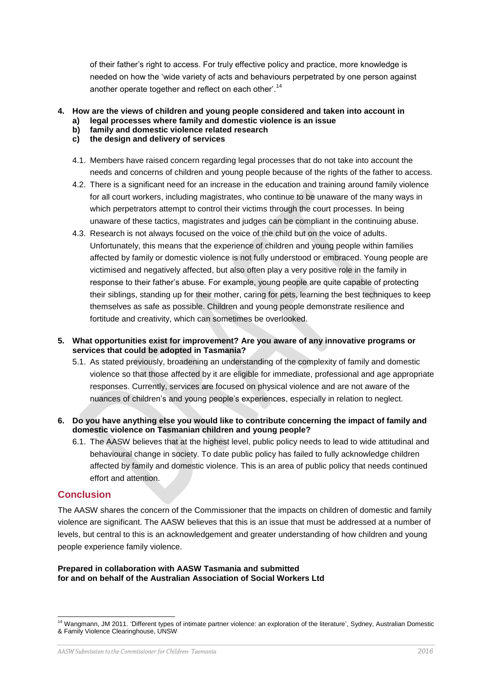of their father's right to access. For truly effective policy and practice, more knowledge is needed on how the 'wide variety of acts and behaviours perpetrated by one person against another operate together and reflect on each other'.<sup>14</sup>

#### **4. How are the views of children and young people considered and taken into account in**

- **a) legal processes where family and domestic violence is an issue**
- **b) family and domestic violence related research**
- **c) the design and delivery of services**
- 4.1. Members have raised concern regarding legal processes that do not take into account the needs and concerns of children and young people because of the rights of the father to access.
- 4.2. There is a significant need for an increase in the education and training around family violence for all court workers, including magistrates, who continue to be unaware of the many ways in which perpetrators attempt to control their victims through the court processes. In being unaware of these tactics, magistrates and judges can be compliant in the continuing abuse.
- 4.3. Research is not always focused on the voice of the child but on the voice of adults. Unfortunately, this means that the experience of children and young people within families affected by family or domestic violence is not fully understood or embraced. Young people are victimised and negatively affected, but also often play a very positive role in the family in response to their father's abuse. For example, young people are quite capable of protecting their siblings, standing up for their mother, caring for pets, learning the best techniques to keep themselves as safe as possible. Children and young people demonstrate resilience and fortitude and creativity, which can sometimes be overlooked.
- **5. What opportunities exist for improvement? Are you aware of any innovative programs or services that could be adopted in Tasmania?**
	- 5.1. As stated previously, broadening an understanding of the complexity of family and domestic violence so that those affected by it are eligible for immediate, professional and age appropriate responses. Currently, services are focused on physical violence and are not aware of the nuances of children's and young people's experiences, especially in relation to neglect.
- **6. Do you have anything else you would like to contribute concerning the impact of family and domestic violence on Tasmanian children and young people?** 
	- 6.1. The AASW believes that at the highest level, public policy needs to lead to wide attitudinal and behavioural change in society. To date public policy has failed to fully acknowledge children affected by family and domestic violence. This is an area of public policy that needs continued effort and attention.

#### **Conclusion**

The AASW shares the concern of the Commissioner that the impacts on children of domestic and family violence are significant. The AASW believes that this is an issue that must be addressed at a number of levels, but central to this is an acknowledgement and greater understanding of how children and young people experience family violence.

#### **Prepared in collaboration with AASW Tasmania and submitted for and on behalf of the Australian Association of Social Workers Ltd**

l <sup>14</sup> Wangmann, JM 2011. 'Different types of intimate partner violence: an exploration of the literature', Sydney, Australian Domestic & Family Violence Clearinghouse, UNSW